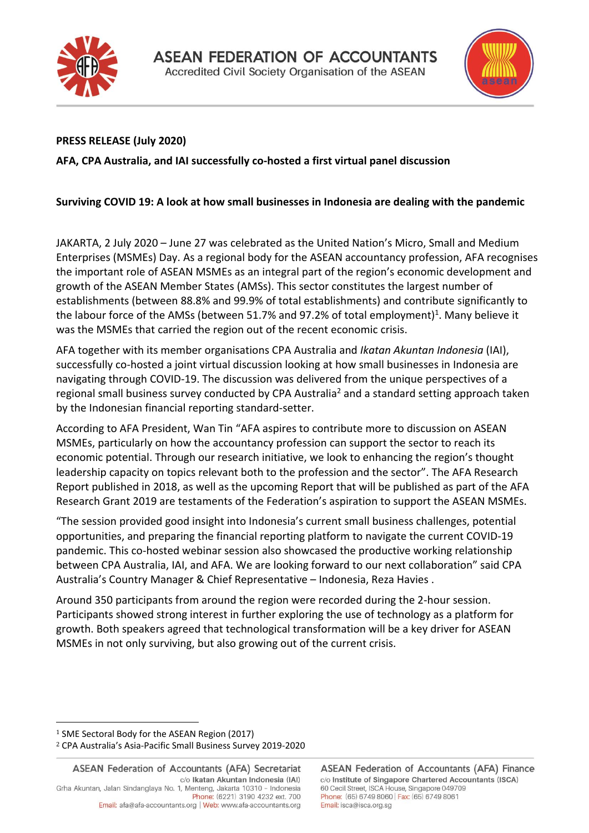



## **PRESS RELEASE (July 2020)**

**AFA, CPA Australia, and IAI successfully co-hosted a first virtual panel discussion**

## **Surviving COVID 19: A look at how small businesses in Indonesia are dealing with the pandemic**

JAKARTA, 2 July 2020 – June 27 was celebrated as the United Nation's Micro, Small and Medium Enterprises (MSMEs) Day. As a regional body for the ASEAN accountancy profession, AFA recognises the important role of ASEAN MSMEs as an integral part of the region's economic development and growth of the ASEAN Member States (AMSs). This sector constitutes the largest number of establishments (between 88.8% and 99.9% of total establishments) and contribute significantly to the labour force of the AMSs (between 51.7% and 97.2% of total employment)<sup>1</sup>. Many believe it was the MSMEs that carried the region out of the recent economic crisis.

AFA together with its member organisations CPA Australia and *Ikatan Akuntan Indonesia* (IAI), successfully co-hosted a joint virtual discussion looking at how small businesses in Indonesia are navigating through COVID-19. The discussion was delivered from the unique perspectives of a regional small business survey conducted by CPA Australia<sup>2</sup> and a standard setting approach taken by the Indonesian financial reporting standard-setter.

According to AFA President, Wan Tin "AFA aspires to contribute more to discussion on ASEAN MSMEs, particularly on how the accountancy profession can support the sector to reach its economic potential. Through our research initiative, we look to enhancing the region's thought leadership capacity on topics relevant both to the profession and the sector". The AFA Research Report published in 2018, as well as the upcoming Report that will be published as part of the AFA Research Grant 2019 are testaments of the Federation's aspiration to support the ASEAN MSMEs.

"The session provided good insight into Indonesia's current small business challenges, potential opportunities, and preparing the financial reporting platform to navigate the current COVID-19 pandemic. This co-hosted webinar session also showcased the productive working relationship between CPA Australia, IAI, and AFA. We are looking forward to our next collaboration" said CPA Australia's Country Manager & Chief Representative – Indonesia, Reza Havies .

Around 350 participants from around the region were recorded during the 2-hour session. Participants showed strong interest in further exploring the use of technology as a platform for growth. Both speakers agreed that technological transformation will be a key driver for ASEAN MSMEs in not only surviving, but also growing out of the current crisis.

<sup>1</sup> SME Sectoral Body for the ASEAN Region (2017)

<sup>2</sup> CPA Australia's Asia-Pacific Small Business Survey 2019-2020